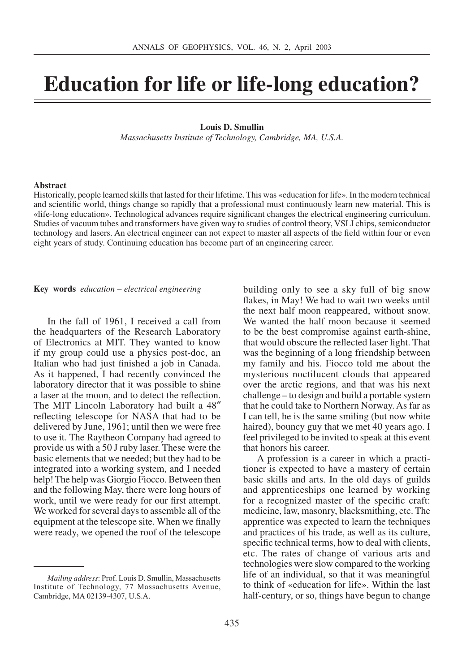## **Education for life or life-long education?**

## **Louis D. Smullin**

*Massachusetts Institute of Technology, Cambridge, MA, U.S.A.*

## **Abstract**

Historically, people learned skills that lasted for their lifetime. This was «education for life». In the modern technical and scientific world, things change so rapidly that a professional must continuously learn new material. This is «life-long education». Technological advances require significant changes the electrical engineering curriculum. Studies of vacuum tubes and transformers have given way to studies of control theory, VSLI chips, semiconductor technology and lasers. An electrical engineer can not expect to master all aspects of the field within four or even eight years of study. Continuing education has become part of an engineering career.

**Key words** *education* - *electrical engineering*

In the fall of 1961, I received a call from the headquarters of the Research Laboratory of Electronics at MIT. They wanted to know if my group could use a physics post-doc, an Italian who had just finished a job in Canada. As it happened, I had recently convinced the laboratory director that it was possible to shine a laser at the moon, and to detect the reflection. The MIT Lincoln Laboratory had built a 48" reflecting telescope for NASA that had to be delivered by June, 1961; until then we were free to use it. The Raytheon Company had agreed to provide us with a 50 J ruby laser. These were the basic elements that we needed; but they had to be integrated into a working system, and I needed help! The help was Giorgio Fiocco. Between then and the following May, there were long hours of work, until we were ready for our first attempt. We worked for several days to assemble all of the equipment at the telescope site. When we finally were ready, we opened the roof of the telescope building only to see a sky full of big snow flakes, in May! We had to wait two weeks until the next half moon reappeared, without snow. We wanted the half moon because it seemed to be the best compromise against earth-shine, that would obscure the reflected laser light. That was the beginning of a long friendship between my family and his. Fiocco told me about the mysterious noctilucent clouds that appeared over the arctic regions, and that was his next challenge – to design and build a portable system that he could take to Northern Norway. As far as I can tell, he is the same smiling (but now white haired), bouncy guy that we met 40 years ago. I feel privileged to be invited to speak at this event that honors his career.

A profession is a career in which a practitioner is expected to have a mastery of certain basic skills and arts. In the old days of guilds and apprenticeships one learned by working for a recognized master of the specific craft: medicine, law, masonry, blacksmithing, etc. The apprentice was expected to learn the techniques and practices of his trade, as well as its culture, specific technical terms, how to deal with clients, etc. The rates of change of various arts and technologies were slow compared to the working life of an individual, so that it was meaningful to think of «education for life». Within the last half-century, or so, things have begun to change

*Mailing address*: Prof. Louis D. Smullin, Massachusetts Institute of Technology, 77 Massachusetts Avenue, Cambridge, MA 02139-4307, U.S.A.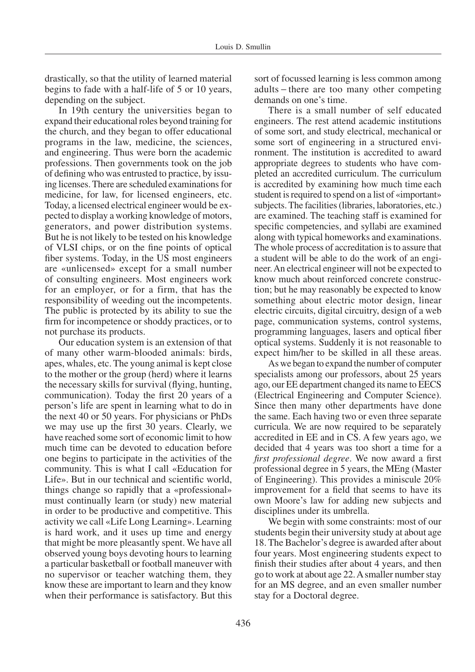drastically, so that the utility of learned material begins to fade with a half-life of 5 or 10 years, depending on the subject.

In 19th century the universities began to expand their educational roles beyond training for the church, and they began to offer educational programs in the law, medicine, the sciences, and engineering. Thus were born the academic professions. Then governments took on the job of defining who was entrusted to practice, by issuing licenses. There are scheduled examinations for medicine, for law, for licensed engineers, etc. Today, a licensed electrical engineer would be expected to display a working knowledge of motors, generators, and power distribution systems. But he is not likely to be tested on his knowledge of VLSI chips, or on the fine points of optical fiber systems. Today, in the US most engineers are «unlicensed» except for a small number of consulting engineers. Most engineers work for an employer, or for a firm, that has the responsibility of weeding out the incompetents. The public is protected by its ability to sue the firm for incompetence or shoddy practices, or to not purchase its products.

Our education system is an extension of that of many other warm-blooded animals: birds, apes, whales, etc. The young animal is kept close to the mother or the group (herd) where it learns the necessary skills for survival (flying, hunting, communication). Today the first 20 years of a person's life are spent in learning what to do in the next 40 or 50 years. For physicians or PhDs we may use up the first 30 years. Clearly, we have reached some sort of economic limit to how much time can be devoted to education before one begins to participate in the activities of the community. This is what I call «Education for Life». But in our technical and scientific world, things change so rapidly that a «professional» must continually learn (or study) new material in order to be productive and competitive. This activity we call «Life Long Learning». Learning is hard work, and it uses up time and energy that might be more pleasantly spent. We have all observed young boys devoting hours to learning a particular basketball or football maneuver with no supervisor or teacher watching them, they know these are important to learn and they know when their performance is satisfactory. But this

sort of focussed learning is less common among adults - there are too many other competing demands on one's time.

There is a small number of self educated engineers. The rest attend academic institutions of some sort, and study electrical, mechanical or some sort of engineering in a structured environment. The institution is accredited to award appropriate degrees to students who have completed an accredited curriculum. The curriculum is accredited by examining how much time each student is required to spend on a list of «important» subjects. The facilities (libraries, laboratories, etc.) are examined. The teaching staff is examined for specific competencies, and syllabi are examined along with typical homeworks and examinations. The whole process of accreditation is to assure that a student will be able to do the work of an engineer. An electrical engineer will not be expected to know much about reinforced concrete construction; but he may reasonably be expected to know something about electric motor design, linear electric circuits, digital circuitry, design of a web page, communication systems, control systems, programming languages, lasers and optical fiber optical systems. Suddenly it is not reasonable to expect him/her to be skilled in all these areas.

As we began to expand the number of computer specialists among our professors, about 25 years ago, our EE department changed its name to EECS (Electrical Engineering and Computer Science). Since then many other departments have done the same. Each having two or even three separate curricula. We are now required to be separately accredited in EE and in CS. A few years ago, we decided that 4 years was too short a time for a *first professional degree.* We now award a first professional degree in 5 years, the MEng (Master of Engineering). This provides a miniscule 20% improvement for a field that seems to have its own Moore's law for adding new subjects and disciplines under its umbrella.

We begin with some constraints: most of our students begin their university study at about age 18. The Bachelor's degree is awarded after about four years. Most engineering students expect to finish their studies after about 4 years, and then go to work at about age 22. A smaller number stay for an MS degree, and an even smaller number stay for a Doctoral degree.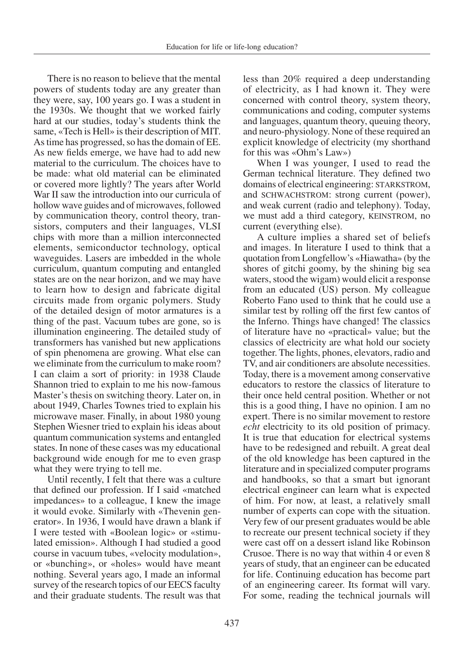There is no reason to believe that the mental powers of students today are any greater than they were, say, 100 years go. I was a student in the 1930s. We thought that we worked fairly hard at our studies, today's students think the same, «Tech is Hell» is their description of MIT. Astime has progressed, so has the domain of EE. As new fields emerge, we have had to add new material to the curriculum. The choices have to be made: what old material can be eliminated or covered more lightly? The years after World War II saw the introduction into our curricula of hollow wave guides and of microwaves, followed by communication theory, control theory, transistors, computers and their languages, VLSI chips with more than a million interconnected elements, semiconductor technology, optical waveguides. Lasers are imbedded in the whole curriculum, quantum computing and entangled states are on the near horizon, and we may have to learn how to design and fabricate digital circuits made from organic polymers. Study of the detailed design of motor armatures is a thing of the past. Vacuum tubes are gone, so is illumination engineering. The detailed study of transformers has vanished but new applications of spin phenomena are growing. What else can we eliminate from the curriculum to make room? I can claim a sort of priority: in 1938 Claude Shannon tried to explain to me his now-famous Master's thesis on switching theory. Later on, in about 1949, Charles Townes tried to explain his microwave maser. Finally, in about 1980 young Stephen Wiesner tried to explain his ideas about quantum communication systems and entangled states. In none of these cases was my educational background wide enough for me to even grasp what they were trying to tell me.

Until recently, I felt that there was a culture that defined our profession. If I said «matched impedances» to a colleague, I knew the image it would evoke. Similarly with «Thevenin generator». In 1936, I would have drawn a blank if I were tested with «Boolean logic» or «stimulated emission». Although I had studied a good course in vacuum tubes, «velocity modulation», or «bunching», or «holes» would have meant nothing. Several years ago, I made an informal survey of the research topics of our EECS faculty and their graduate students. The result was that less than 20% required a deep understanding of electricity, as I had known it. They were concerned with control theory, system theory, communications and coding, computer systems and languages, quantum theory, queuing theory, and neuro-physiology. None of these required an explicit knowledge of electricity (my shorthand for this was «Ohm's Law»)

When I was younger, I used to read the German technical literature. They defined two domains of electrical engineering: STARKSTROM, and SCHWACHSTROM: strong current (power), and weak current (radio and telephony). Today, we must add a third category, KEINSTROM, no current (everything else).

A culture implies a shared set of beliefs and images. In literature I used to think that a quotation from Longfellow's «Hiawatha» (by the shores of gitchi goomy, by the shining big sea waters, stood the wigam) would elicit a response from an educated (US) person. My colleague Roberto Fano used to think that he could use a similar test by rolling off the first few cantos of the Inferno. Things have changed! The classics of literature have no «practical» value; but the classics of electricity are what hold our society together. The lights, phones, elevators, radio and TV, and air conditioners are absolute necessities. Today, there is a movement among conservative educators to restore the classics of literature to their once held central position. Whether or not this is a good thing, I have no opinion. I am no expert. There is no similar movement to restore *echt* electricity to its old position of primacy. It is true that education for electrical systems have to be redesigned and rebuilt. A great deal of the old knowledge has been captured in the literature and in specialized computer programs and handbooks, so that a smart but ignorant electrical engineer can learn what is expected of him. For now, at least, a relatively small number of experts can cope with the situation. Very few of our present graduates would be able to recreate our present technical society if they were cast off on a dessert island like Robinson Crusoe. There is no way that within 4 or even 8 years of study, that an engineer can be educated for life. Continuing education has become part of an engineering career. Its format will vary. For some, reading the technical journals will